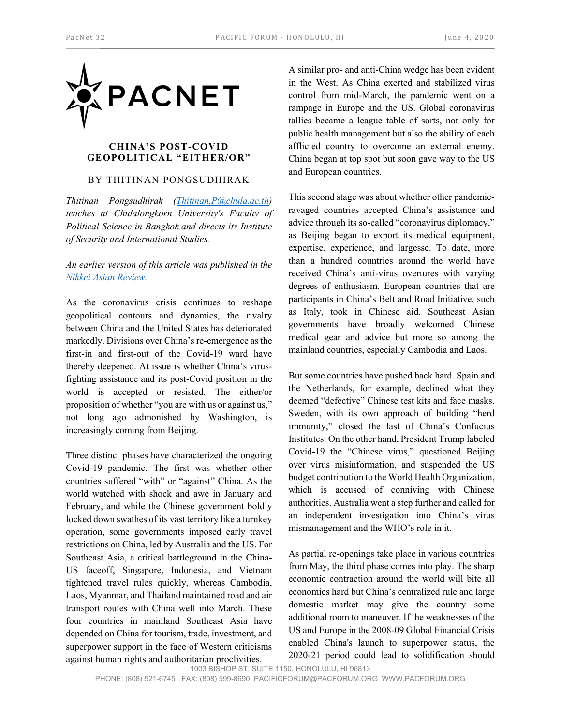

## **CHINA'S POST-COVID GEOPOLITICAL "EITHER/OR"**

## BY THITINAN PONGSUDHIRAK

*Thitinan Pongsudhirak [\(Thitinan.P@chula.ac.th\)](mailto:Thitinan.P@chula.ac.th) teaches at Chulalongkorn University's Faculty of Political Science in Bangkok and directs its Institute of Security and International Studies.* 

## *An earlier version of this article was published in the [Nikkei Asian Review.](mailto:https://asia.nikkei.com/Opinion/China-wants-to-know-if-you-are-with-it-or-against-it)*

As the coronavirus crisis continues to reshape geopolitical contours and dynamics, the rivalry between China and the United States has deteriorated markedly. Divisions over China's re-emergence as the first-in and first-out of the Covid-19 ward have thereby deepened. At issue is whether China's virusfighting assistance and its post-Covid position in the world is accepted or resisted. The either/or proposition of whether "you are with us or against us," not long ago admonished by Washington, is increasingly coming from Beijing.

Three distinct phases have characterized the ongoing Covid-19 pandemic. The first was whether other countries suffered "with" or "against" China. As the world watched with shock and awe in January and February, and while the Chinese government boldly locked down swathes of its vast territory like a turnkey operation, some governments imposed early travel restrictions on China, led by Australia and the US. For Southeast Asia, a critical battleground in the China-US faceoff, Singapore, Indonesia, and Vietnam tightened travel rules quickly, whereas Cambodia, Laos, Myanmar, and Thailand maintained road and air transport routes with China well into March. These four countries in mainland Southeast Asia have depended on China for tourism, trade, investment, and superpower support in the face of Western criticisms against human rights and authoritarian proclivities.

A similar pro- and anti-China wedge has been evident in the West. As China exerted and stabilized virus control from mid-March, the pandemic went on a rampage in Europe and the US. Global coronavirus tallies became a league table of sorts, not only for public health management but also the ability of each afflicted country to overcome an external enemy. China began at top spot but soon gave way to the US and European countries.

This second stage was about whether other pandemicravaged countries accepted China's assistance and advice through its so-called "coronavirus diplomacy," as Beijing began to export its medical equipment, expertise, experience, and largesse. To date, more than a hundred countries around the world have received China's anti-virus overtures with varying degrees of enthusiasm. European countries that are participants in China's Belt and Road Initiative, such as Italy, took in Chinese aid. Southeast Asian governments have broadly welcomed Chinese medical gear and advice but more so among the mainland countries, especially Cambodia and Laos.

But some countries have pushed back hard. Spain and the Netherlands, for example, declined what they deemed "defective" Chinese test kits and face masks. Sweden, with its own approach of building "herd immunity," closed the last of China's Confucius Institutes. On the other hand, President Trump labeled Covid-19 the "Chinese virus," questioned Beijing over virus misinformation, and suspended the US budget contribution to the World Health Organization, which is accused of conniving with Chinese authorities. Australia went a step further and called for an independent investigation into China's virus mismanagement and the WHO's role in it.

1003 BISHOP ST. SUITE 1150, HONOLULU, HI 96813 As partial re-openings take place in various countries from May, the third phase comes into play. The sharp economic contraction around the world will bite all economies hard but China's centralized rule and large domestic market may give the country some additional room to maneuver. If the weaknesses of the US and Europe in the 2008-09 Global Financial Crisis enabled China's launch to superpower status, the 2020-21 period could lead to solidification should